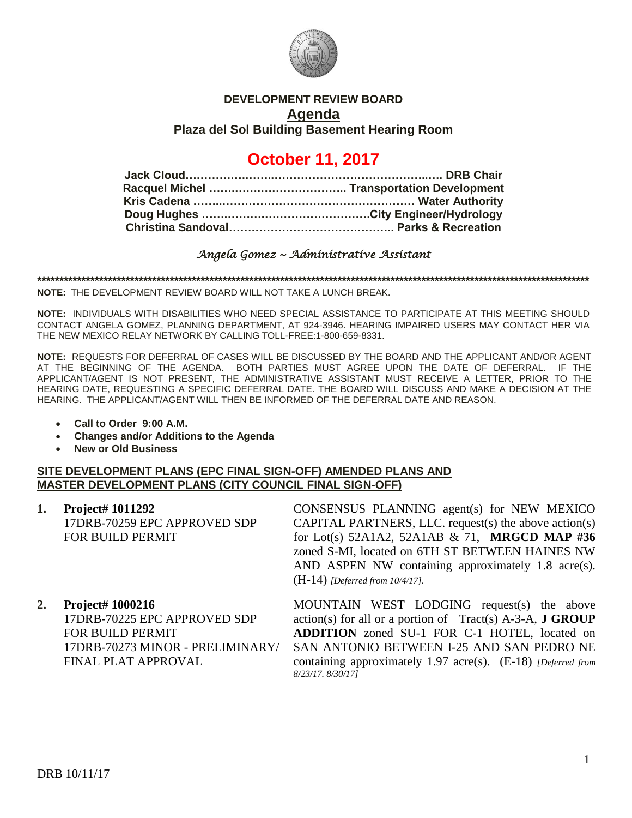

# **DEVELOPMENT REVIEW BOARD Agenda Plaza del Sol Building Basement Hearing Room**

# **October 11, 2017**

## *Angela Gomez ~ Administrative Assistant*

**\*\*\*\*\*\*\*\*\*\*\*\*\*\*\*\*\*\*\*\*\*\*\*\*\*\*\*\*\*\*\*\*\*\*\*\*\*\*\*\*\*\*\*\*\*\*\*\*\*\*\*\*\*\*\*\*\*\*\*\*\*\*\*\*\*\*\*\*\*\*\*\*\*\*\*\*\*\*\*\*\*\*\*\*\*\*\*\*\*\*\*\*\*\*\*\*\*\*\*\*\*\*\*\*\*\*\*\*\*\*\*\*\*\*\*\*\*\*\*\*\*\*\*\*\***

**NOTE:** THE DEVELOPMENT REVIEW BOARD WILL NOT TAKE A LUNCH BREAK.

**NOTE:** INDIVIDUALS WITH DISABILITIES WHO NEED SPECIAL ASSISTANCE TO PARTICIPATE AT THIS MEETING SHOULD CONTACT ANGELA GOMEZ, PLANNING DEPARTMENT, AT 924-3946. HEARING IMPAIRED USERS MAY CONTACT HER VIA THE NEW MEXICO RELAY NETWORK BY CALLING TOLL-FREE:1-800-659-8331.

**NOTE:** REQUESTS FOR DEFERRAL OF CASES WILL BE DISCUSSED BY THE BOARD AND THE APPLICANT AND/OR AGENT AT THE BEGINNING OF THE AGENDA. BOTH PARTIES MUST AGREE UPON THE DATE OF DEFERRAL. IF THE APPLICANT/AGENT IS NOT PRESENT, THE ADMINISTRATIVE ASSISTANT MUST RECEIVE A LETTER, PRIOR TO THE HEARING DATE, REQUESTING A SPECIFIC DEFERRAL DATE. THE BOARD WILL DISCUSS AND MAKE A DECISION AT THE HEARING. THE APPLICANT/AGENT WILL THEN BE INFORMED OF THE DEFERRAL DATE AND REASON.

- **Call to Order 9:00 A.M.**
- **Changes and/or Additions to the Agenda**
- **New or Old Business**

#### **SITE DEVELOPMENT PLANS (EPC FINAL SIGN-OFF) AMENDED PLANS AND MASTER DEVELOPMENT PLANS (CITY COUNCIL FINAL SIGN-OFF)**

| 1. Project# 1011292          |
|------------------------------|
| 17DRB-70259 EPC APPROVED SDP |
| FOR BUILD PERMIT             |

CONSENSUS PLANNING agent(s) for NEW MEXICO CAPITAL PARTNERS, LLC. request(s) the above action(s) for Lot(s) 52A1A2, 52A1AB & 71, **MRGCD MAP #36** zoned S-MI, located on 6TH ST BETWEEN HAINES NW AND ASPEN NW containing approximately 1.8 acre(s). (H-14) *[Deferred from 10/4/17].*

**2. Project# 1000216** 17DRB-70225 EPC APPROVED SDP FOR BUILD PERMIT 17DRB-70273 MINOR - PRELIMINARY/ FINAL PLAT APPROVAL

MOUNTAIN WEST LODGING request(s) the above action(s) for all or a portion of Tract(s) A-3-A, **J GROUP ADDITION** zoned SU-1 FOR C-1 HOTEL, located on SAN ANTONIO BETWEEN I-25 AND SAN PEDRO NE containing approximately 1.97 acre(s). (E-18) *[Deferred from 8/23/17. 8/30/17]*